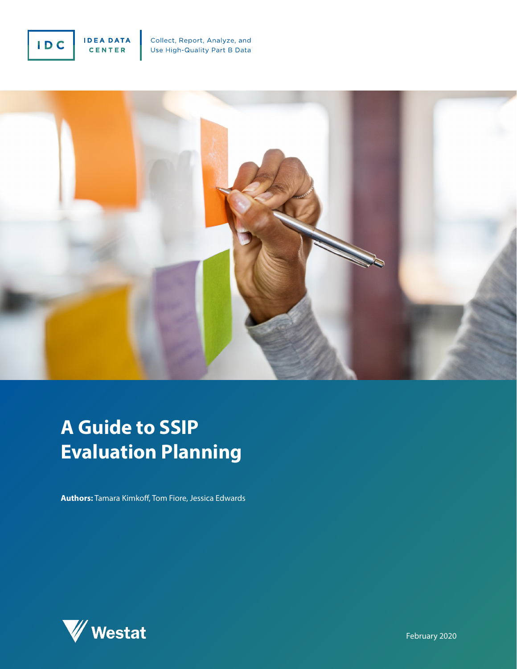



# **A Guide to SSIP Evaluation Planning**

**Authors:** Tamara Kimkoff, Tom Fiore, Jessica Edwards

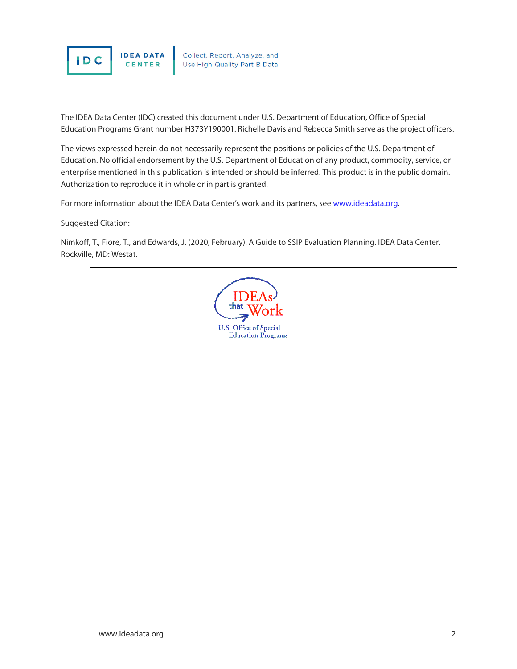

The IDEA Data Center (IDC) created this document under U.S. Department of Education, Office of Special Education Programs Grant number H373Y190001. Richelle Davis and Rebecca Smith serve as the project officers.

The views expressed herein do not necessarily represent the positions or policies of the U.S. Department of Education. No official endorsement by the U.S. Department of Education of any product, commodity, service, or enterprise mentioned in this publication is intended or should be inferred. This product is in the public domain. Authorization to reproduce it in whole or in part is granted.

For more information about the IDEA Data Center's work and its partners, see [www.ideadata.org.](http://www.ideadata.org/)

Suggested Citation:

Nimkoff, T., Fiore, T., and Edwards, J. (2020, February). A Guide to SSIP Evaluation Planning. IDEA Data Center. Rockville, MD: Westat.

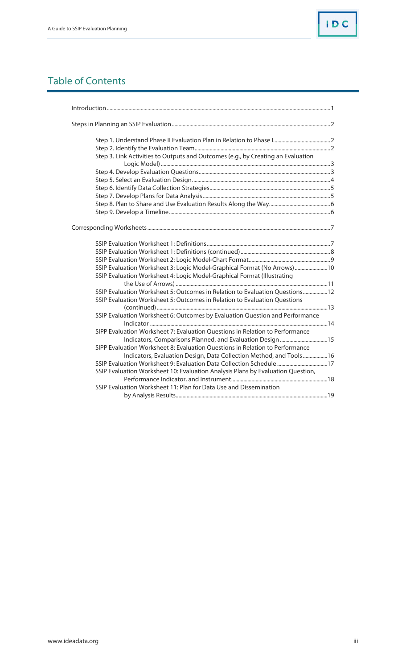## Table of Contents

| Step 3. Link Activities to Outputs and Outcomes (e.g., by Creating an Evaluation |  |
|----------------------------------------------------------------------------------|--|
|                                                                                  |  |
|                                                                                  |  |
|                                                                                  |  |
|                                                                                  |  |
|                                                                                  |  |
|                                                                                  |  |
|                                                                                  |  |
|                                                                                  |  |
|                                                                                  |  |
|                                                                                  |  |
|                                                                                  |  |
| SSIP Evaluation Worksheet 3: Logic Model-Graphical Format (No Arrows) 10         |  |
| SSIP Evaluation Worksheet 4: Logic Model-Graphical Format (Illustrating          |  |
|                                                                                  |  |
| SSIP Evaluation Worksheet 5: Outcomes in Relation to Evaluation Questions 12     |  |
| SSIP Evaluation Worksheet 5: Outcomes in Relation to Evaluation Questions        |  |
|                                                                                  |  |
| SSIP Evaluation Worksheet 6: Outcomes by Evaluation Question and Performance     |  |
|                                                                                  |  |
| SIPP Evaluation Worksheet 7: Evaluation Questions in Relation to Performance     |  |
| Indicators, Comparisons Planned, and Evaluation Design  15                       |  |
| SIPP Evaluation Worksheet 8: Evaluation Questions in Relation to Performance     |  |
| Indicators, Evaluation Design, Data Collection Method, and Tools16               |  |
| SSIP Evaluation Worksheet 9: Evaluation Data Collection Schedule 17              |  |
| SSIP Evaluation Worksheet 10: Evaluation Analysis Plans by Evaluation Question,  |  |
|                                                                                  |  |
| SSIP Evaluation Worksheet 11: Plan for Data Use and Dissemination                |  |
|                                                                                  |  |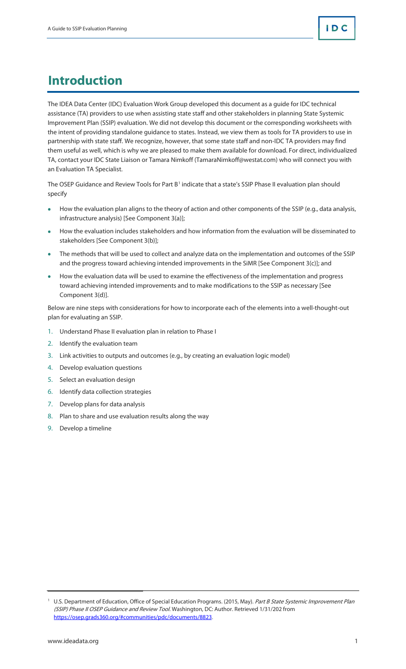# **Introduction**

The IDEA Data Center (IDC) Evaluation Work Group developed this document as a guide for IDC technical assistance (TA) providers to use when assisting state staff and other stakeholders in planning State Systemic Improvement Plan (SSIP) evaluation. We did not develop this document or the corresponding worksheets with the intent of providing standalone guidance to states. Instead, we view them as tools for TA providers to use in partnership with state staff. We recognize, however, that some state staff and non-IDC TA providers may find them useful as well, which is why we are pleased to make them available for download. For direct, individualized TA, contact your [IDC State Liaison](https://ideadata.org/technical-assistance/) or Tamara Nimkoff [\(TamaraNimkoff@westat.com\)](mailto:TamaraNimkoff@westat.com) who will connect you with an Evaluation TA Specialist.

The OSEP Guidance and Review Tools for Part B<sup>[1](#page-3-0)</sup> indicate that a state's SSIP Phase II evaluation plan should specify

- How the evaluation plan aligns to the theory of action and other components of the SSIP (e.g., data analysis, infrastructure analysis) [See Component 3(a)];
- How the evaluation includes stakeholders and how information from the evaluation will be disseminated to stakeholders [See Component 3(b)];
- The methods that will be used to collect and analyze data on the implementation and outcomes of the SSIP and the progress toward achieving intended improvements in the SiMR [See Component 3(c)]; and
- How the evaluation data will be used to examine the effectiveness of the implementation and progress toward achieving intended improvements and to make modifications to the SSIP as necessary [See Component 3(d)].

Below are nine steps with considerations for how to incorporate each of the elements into a well-thought-out plan for evaluating an SSIP.

- 1. Understand Phase II evaluation plan in relation to Phase I
- 2. Identify the evaluation team
- 3. Link activities to outputs and outcomes (e.g., by creating an evaluation logic model)
- 4. Develop evaluation questions
- 5. Select an evaluation design
- 6. Identify data collection strategies
- 7. Develop plans for data analysis
- 8. Plan to share and use evaluation results along the way
- 9. Develop a timeline

<span id="page-3-0"></span><sup>&</sup>lt;sup>1</sup> U.S. Department of Education, Office of Special Education Programs. (2015, May). Part B State Systemic Improvement Plan (SSIP) Phase II OSEP Guidance and Review Tool. Washington, DC: Author. Retrieved 1/31/202 from [https://osep.grads360.org/#communities/pdc/documents/8823.](https://osep.grads360.org/#communities/pdc/documents/8823)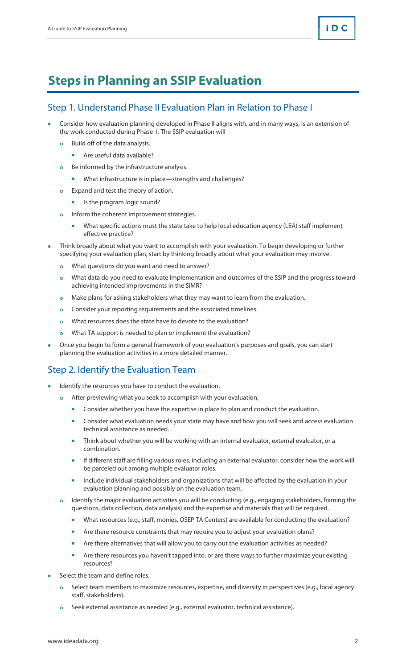# **Steps in Planning an SSIP Evaluation**

### Step 1. Understand Phase II Evaluation Plan in Relation to Phase I

- Consider how evaluation planning developed in Phase II aligns with, and in many ways, is an extension of the work conducted during Phase 1. The SSIP evaluation will
	- **o** Build off of the data analysis.
		- **Are useful data available?**
	- **o** Be informed by the infrastructure analysis.
		- What infrastructure is in place—strengths and challenges?
	- **o** Expand and test the theory of action.
		- **If** Is the program logic sound?
	- **o** Inform the coherent improvement strategies.
		- What specific actions must the state take to help local education agency (LEA) staff implement effective practice?
- Think broadly about what you want to accomplish with your evaluation. To begin developing or further specifying your evaluation plan, start by thinking broadly about what your evaluation may involve.
	- **o** What questions do you want and need to answer?
	- **o** What data do you need to evaluate implementation and outcomes of the SSIP and the progress toward achieving intended improvements in the SiMR?
	- **o** Make plans for asking stakeholders what they may want to learn from the evaluation.
	- **o** Consider your reporting requirements and the associated timelines.
	- **o** What resources does the state have to devote to the evaluation?
	- **o** What TA support is needed to plan or implement the evaluation?
- Once you begin to form a general framework of your evaluation's purposes and goals, you can start planning the evaluation activities in a more detailed manner.

### Step 2. Identify the Evaluation Team

- Identify the resources you have to conduct the evaluation.
	- **o** After previewing what you seek to accomplish with your evaluation,
		- **Consider whether you have the expertise in place to plan and conduct the evaluation.**
		- **EX Consider what evaluation needs your state may have and how you will seek and access evaluation** technical assistance as needed.
		- **Think about whether you will be working with an internal evaluator, external evaluator, or a** combination.
		- If different staff are filling various roles, including an external evaluator, consider how the work will be parceled out among multiple evaluator roles.
		- **Include individual stakeholders and organizations that will be affected by the evaluation in your** evaluation planning and possibly on the evaluation team.
	- **o** Identify the major evaluation activities you will be conducting (e.g., engaging stakeholders, framing the questions, data collection, data analysis) and the expertise and materials that will be required.
		- What resources (e.g., staff, monies, OSEP TA Centers) are available for conducting the evaluation?
		- **Are there resource constraints that may require you to adjust your evaluation plans?**
		- Are there alternatives that will allow you to carry out the evaluation activities as needed?
		- Are there resources you haven't tapped into, or are there ways to further maximize your existing resources?
- Select the team and define roles.
	- **o** Select team members to maximize resources, expertise, and diversity in perspectives (e.g., local agency staff, stakeholders).
	- **o** Seek external assistance as needed (e.g., external evaluator, technical assistance).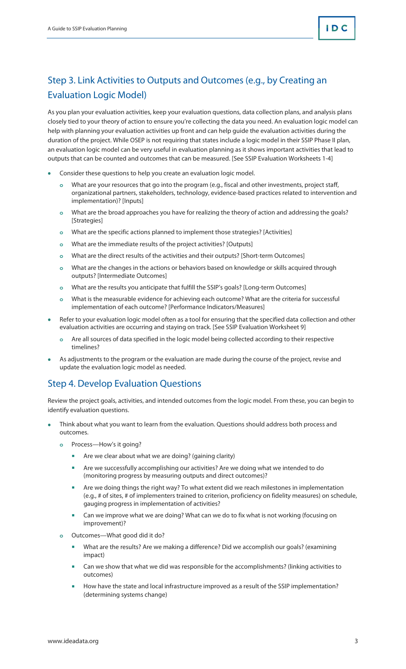## Step 3. Link Activities to Outputs and Outcomes (e.g., by Creating an Evaluation Logic Model)

As you plan your evaluation activities, keep your evaluation questions, data collection plans, and analysis plans closely tied to your theory of action to ensure you're collecting the data you need. An evaluation logic model can help with planning your evaluation activities up front and can help guide the evaluation activities during the duration of the project. While OSEP is not requiring that states include a logic model in their SSIP Phase II plan, an evaluation logic model can be very useful in evaluation planning as it shows important activities that lead to outputs that can be counted and outcomes that can be measured. [See SSIP Evaluation Worksheets 1-4]

- Consider these questions to help you create an evaluation logic model.
	- **o** What are your resources that go into the program (e.g., fiscal and other investments, project staff, organizational partners, stakeholders, technology, evidence-based practices related to intervention and implementation)? [Inputs]
	- **o** What are the broad approaches you have for realizing the theory of action and addressing the goals? [Strategies]
	- **o** What are the specific actions planned to implement those strategies? [Activities]
	- **o** What are the immediate results of the project activities? [Outputs]
	- **o** What are the direct results of the activities and their outputs? [Short-term Outcomes]
	- **o** What are the changes in the actions or behaviors based on knowledge or skills acquired through outputs? [Intermediate Outcomes]
	- **o** What are the results you anticipate that fulfill the SSIP's goals? [Long-term Outcomes]
	- **o** What is the measurable evidence for achieving each outcome? What are the criteria for successful implementation of each outcome? [Performance Indicators/Measures]
- Refer to your evaluation logic model often as a tool for ensuring that the specified data collection and other evaluation activities are occurring and staying on track. [See SSIP Evaluation Worksheet 9]
	- **o** Are all sources of data specified in the logic model being collected according to their respective timelines?
- As adjustments to the program or the evaluation are made during the course of the project, revise and update the evaluation logic model as needed.

### Step 4. Develop Evaluation Questions

Review the project goals, activities, and intended outcomes from the logic model. From these, you can begin to identify evaluation questions.

- Think about what you want to learn from the evaluation. Questions should address both process and outcomes.
	- **o** Process—How's it going?
		- **Are we clear about what we are doing? (gaining clarity)**
		- **•** Are we successfully accomplishing our activities? Are we doing what we intended to do (monitoring progress by measuring outputs and direct outcomes)?
		- **Are we doing things the right way? To what extent did we reach milestones in implementation** (e.g., # of sites, # of implementers trained to criterion, proficiency on fidelity measures) on schedule, gauging progress in implementation of activities?
		- Can we improve what we are doing? What can we do to fix what is not working (focusing on improvement)?
	- **o** Outcomes—What good did it do?
		- What are the results? Are we making a difference? Did we accomplish our goals? (examining impact)
		- Can we show that what we did was responsible for the accomplishments? (linking activities to outcomes)
		- How have the state and local infrastructure improved as a result of the SSIP implementation? (determining systems change)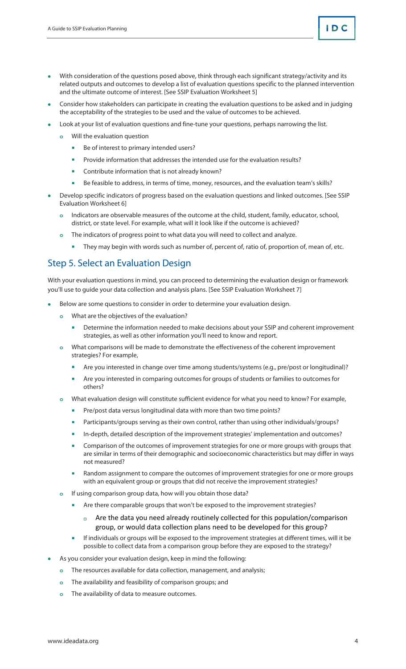- With consideration of the questions posed above, think through each significant strategy/activity and its related outputs and outcomes to develop a list of evaluation questions specific to the planned intervention and the ultimate outcome of interest. [See SSIP Evaluation Worksheet 5]
- Consider how stakeholders can participate in creating the evaluation questions to be asked and in judging the acceptability of the strategies to be used and the value of outcomes to be achieved.
- Look at your list of evaluation questions and fine-tune your questions, perhaps narrowing the list.
	- **o** Will the evaluation question
		- Be of interest to primary intended users?
		- **Provide information that addresses the intended use for the evaluation results?**
		- **EXECONTRIBUTE:** Contribute information that is not already known?
		- Be feasible to address, in terms of time, money, resources, and the evaluation team's skills?
- Develop specific indicators of progress based on the evaluation questions and linked outcomes. [See SSIP Evaluation Worksheet 6]
	- **o** Indicators are observable measures of the outcome at the child, student, family, educator, school, district, or state level. For example, what will it look like if the outcome is achieved?
	- **o** The indicators of progress point to what data you will need to collect and analyze.
		- They may begin with words such as number of, percent of, ratio of, proportion of, mean of, etc.

### Step 5. Select an Evaluation Design

With your evaluation questions in mind, you can proceed to determining the evaluation design or framework you'll use to guide your data collection and analysis plans. [See SSIP Evaluation Worksheet 7]

- Below are some questions to consider in order to determine your evaluation design.
	- **o** What are the objectives of the evaluation?
		- **Determine the information needed to make decisions about your SSIP and coherent improvement** strategies, as well as other information you'll need to know and report.
	- **o** What comparisons will be made to demonstrate the effectiveness of the coherent improvement strategies? For example,
		- Are you interested in change over time among students/systems (e.g., pre/post or longitudinal)?
		- **Are you interested in comparing outcomes for groups of students or families to outcomes for** others?
	- **o** What evaluation design will constitute sufficient evidence for what you need to know? For example,
		- Pre/post data versus longitudinal data with more than two time points?
		- **Participants/groups serving as their own control, rather than using other individuals/groups?**
		- **In-depth, detailed description of the improvement strategies' implementation and outcomes?**
		- Comparison of the outcomes of improvement strategies for one or more groups with groups that are similar in terms of their demographic and socioeconomic characteristics but may differ in ways not measured?
		- **Random assignment to compare the outcomes of improvement strategies for one or more groups** with an equivalent group or groups that did not receive the improvement strategies?
	- **o** If using comparison group data, how will you obtain those data?
		- **Are there comparable groups that won't be exposed to the improvement strategies?** 
			- a Are the data you need already routinely collected for this population/comparison group, or would data collection plans need to be developed for this group?
		- If individuals or groups will be exposed to the improvement strategies at different times, will it be possible to collect data from a comparison group before they are exposed to the strategy?
- As you consider your evaluation design, keep in mind the following:
	- **o** The resources available for data collection, management, and analysis;
	- **o** The availability and feasibility of comparison groups; and
	- **o** The availability of data to measure outcomes.

ID C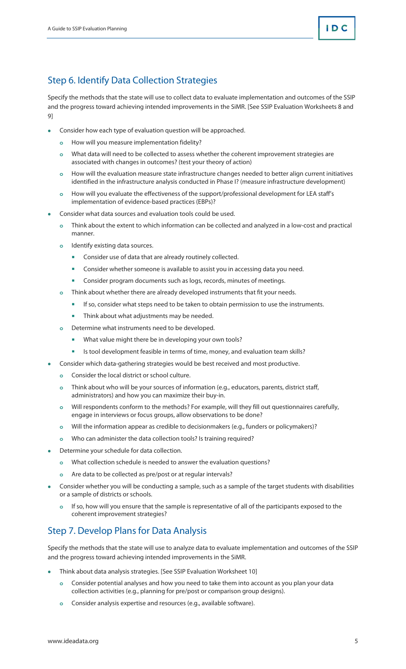### Step 6. Identify Data Collection Strategies

Specify the methods that the state will use to collect data to evaluate implementation and outcomes of the SSIP and the progress toward achieving intended improvements in the SiMR. [See SSIP Evaluation Worksheets 8 and 9]

- Consider how each type of evaluation question will be approached.
	- **o** How will you measure implementation fidelity?
	- **o** What data will need to be collected to assess whether the coherent improvement strategies are associated with changes in outcomes? (test your theory of action)
	- **o** How will the evaluation measure state infrastructure changes needed to better align current initiatives identified in the infrastructure analysis conducted in Phase I? (measure infrastructure development)
	- **o** How will you evaluate the effectiveness of the support/professional development for LEA staff's implementation of evidence-based practices (EBPs)?
- Consider what data sources and evaluation tools could be used.
	- **o** Think about the extent to which information can be collected and analyzed in a low-cost and practical manner.
	- **o** Identify existing data sources.
		- **Consider use of data that are already routinely collected.**
		- **Consider whether someone is available to assist you in accessing data you need.**
		- **Consider program documents such as logs, records, minutes of meetings.**
	- **o** Think about whether there are already developed instruments that fit your needs.
		- **If so, consider what steps need to be taken to obtain permission to use the instruments.**
		- **Think about what adjustments may be needed.**
	- **o** Determine what instruments need to be developed.
		- **What value might there be in developing your own tools?**
		- Is tool development feasible in terms of time, money, and evaluation team skills?
- Consider which data-gathering strategies would be best received and most productive.
	- **o** Consider the local district or school culture.
	- **o** Think about who will be your sources of information (e.g., educators, parents, district staff, administrators) and how you can maximize their buy-in.
	- **o** Will respondents conform to the methods? For example, will they fill out questionnaires carefully, engage in interviews or focus groups, allow observations to be done?
	- **o** Will the information appear as credible to decisionmakers (e.g., funders or policymakers)?
	- **o** Who can administer the data collection tools? Is training required?
- Determine your schedule for data collection.
	- **o** What collection schedule is needed to answer the evaluation questions?
	- **o** Are data to be collected as pre/post or at regular intervals?
- Consider whether you will be conducting a sample, such as a sample of the target students with disabilities or a sample of districts or schools.
	- **o** If so, how will you ensure that the sample is representative of all of the participants exposed to the coherent improvement strategies?

### Step 7. Develop Plans for Data Analysis

Specify the methods that the state will use to analyze data to evaluate implementation and outcomes of the SSIP and the progress toward achieving intended improvements in the SiMR.

- Think about data analysis strategies. [See SSIP Evaluation Worksheet 10]
	- **o** Consider potential analyses and how you need to take them into account as you plan your data collection activities (e.g., planning for pre/post or comparison group designs).
	- **o** Consider analysis expertise and resources (e.g., available software).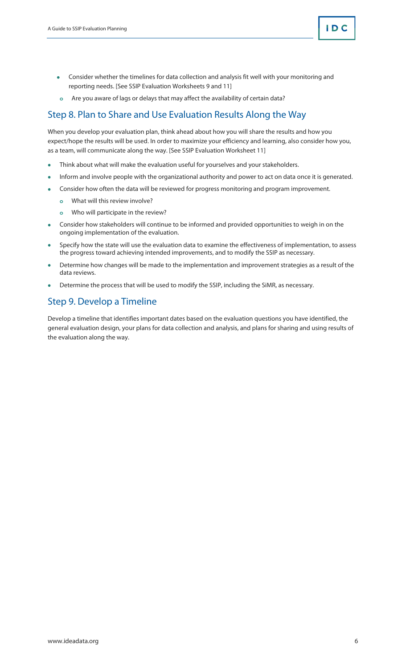- Consider whether the timelines for data collection and analysis fit well with your monitoring and reporting needs. [See SSIP Evaluation Worksheets 9 and 11]
- **o** Are you aware of lags or delays that may affect the availability of certain data?

### Step 8. Plan to Share and Use Evaluation Results Along the Way

When you develop your evaluation plan, think ahead about how you will share the results and how you expect/hope the results will be used. In order to maximize your efficiency and learning, also consider how you, as a team, will communicate along the way. [See SSIP Evaluation Worksheet 11]

- Think about what will make the evaluation useful for yourselves and your stakeholders.
- Inform and involve people with the organizational authority and power to act on data once it is generated.
- Consider how often the data will be reviewed for progress monitoring and program improvement.
	- **o** What will this review involve?
	- **o** Who will participate in the review?
- Consider how stakeholders will continue to be informed and provided opportunities to weigh in on the ongoing implementation of the evaluation.
- Specify how the state will use the evaluation data to examine the effectiveness of implementation, to assess the progress toward achieving intended improvements, and to modify the SSIP as necessary.
- Determine how changes will be made to the implementation and improvement strategies as a result of the data reviews.
- Determine the process that will be used to modify the SSIP, including the SiMR, as necessary.

### Step 9. Develop a Timeline

Develop a timeline that identifies important dates based on the evaluation questions you have identified, the general evaluation design, your plans for data collection and analysis, and plans for sharing and using results of the evaluation along the way.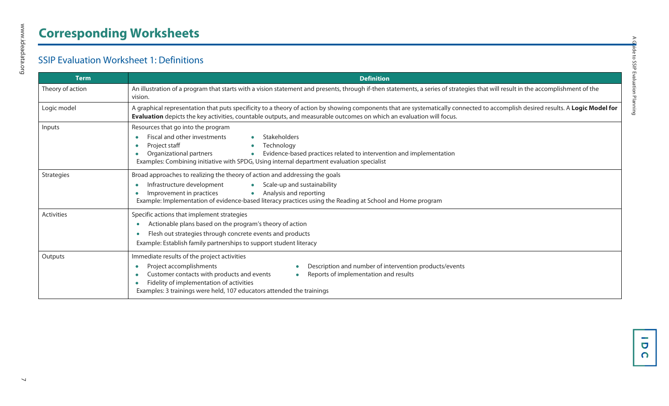# **Corresponding Worksheets**

### SSIP Evaluation Worksheet 1: Definitions

| <b>Term</b>      | <b>Definition</b>                                                                                                                                                                                                                                                                                                                                                         |  |  |  |  |  |  |  |
|------------------|---------------------------------------------------------------------------------------------------------------------------------------------------------------------------------------------------------------------------------------------------------------------------------------------------------------------------------------------------------------------------|--|--|--|--|--|--|--|
| Theory of action | An illustration of a program that starts with a vision statement and presents, through if-then statements, a series of strategies that will result in the accomplishment of the<br>vision.                                                                                                                                                                                |  |  |  |  |  |  |  |
| Logic model      | A graphical representation that puts specificity to a theory of action by showing components that are systematically connected to accomplish desired results. A Logic Model for<br>Evaluation depicts the key activities, countable outputs, and measurable outcomes on which an evaluation will focus.                                                                   |  |  |  |  |  |  |  |
| Inputs           | Resources that go into the program<br>Fiscal and other investments<br>Stakeholders<br>$\bullet$<br>Project staff<br>Technology<br>$\bullet$<br>٠<br>Organizational partners<br>Evidence-based practices related to intervention and implementation<br>$\bullet$<br>$\bullet$<br>Examples: Combining initiative with SPDG, Using internal department evaluation specialist |  |  |  |  |  |  |  |
| Strategies       | Broad approaches to realizing the theory of action and addressing the goals<br>Infrastructure development<br>Scale-up and sustainability<br>$\bullet$<br>Improvement in practices<br>Analysis and reporting<br>$\bullet$<br>$\epsilon$<br>Example: Implementation of evidence-based literacy practices using the Reading at School and Home program                       |  |  |  |  |  |  |  |
| Activities       | Specific actions that implement strategies<br>Actionable plans based on the program's theory of action<br>Flesh out strategies through concrete events and products<br>Example: Establish family partnerships to support student literacy                                                                                                                                 |  |  |  |  |  |  |  |
| Outputs          | Immediate results of the project activities<br>Description and number of intervention products/events<br>Project accomplishments<br>۰<br>Customer contacts with products and events<br>Reports of implementation and results<br>$\bullet$<br>Fidelity of implementation of activities<br>Examples: 3 trainings were held, 107 educators attended the trainings            |  |  |  |  |  |  |  |

www.ideadata.org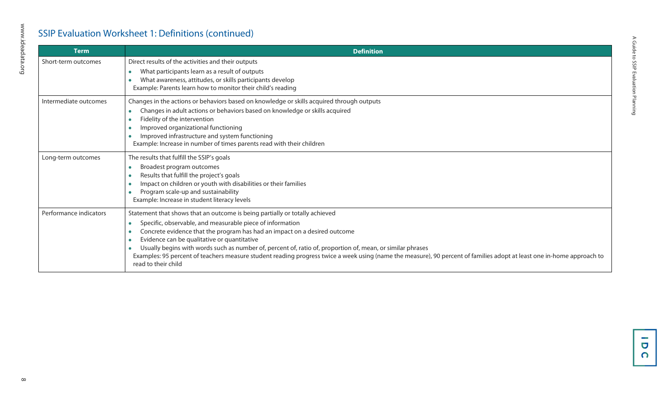### SSIP Evaluation Worksheet 1: Definitions (continued)

| <b>Term</b>            | <b>Definition</b>                                                                                                                                                                                                                                                                                                                                                                                                                                                                                                                                                                   |
|------------------------|-------------------------------------------------------------------------------------------------------------------------------------------------------------------------------------------------------------------------------------------------------------------------------------------------------------------------------------------------------------------------------------------------------------------------------------------------------------------------------------------------------------------------------------------------------------------------------------|
| Short-term outcomes    | Direct results of the activities and their outputs<br>What participants learn as a result of outputs<br>What awareness, attitudes, or skills participants develop<br>Example: Parents learn how to monitor their child's reading                                                                                                                                                                                                                                                                                                                                                    |
| Intermediate outcomes  | Changes in the actions or behaviors based on knowledge or skills acquired through outputs<br>Changes in adult actions or behaviors based on knowledge or skills acquired<br>Fidelity of the intervention<br>Improved organizational functioning<br>Improved infrastructure and system functioning<br>Example: Increase in number of times parents read with their children                                                                                                                                                                                                          |
| Long-term outcomes     | The results that fulfill the SSIP's goals<br>Broadest program outcomes<br>Results that fulfill the project's goals<br>Impact on children or youth with disabilities or their families<br>Program scale-up and sustainability<br>Example: Increase in student literacy levels                                                                                                                                                                                                                                                                                                        |
| Performance indicators | Statement that shows that an outcome is being partially or totally achieved<br>Specific, observable, and measurable piece of information<br>Concrete evidence that the program has had an impact on a desired outcome<br>Evidence can be qualitative or quantitative<br>Usually begins with words such as number of, percent of, ratio of, proportion of, mean, or similar phrases<br>Examples: 95 percent of teachers measure student reading progress twice a week using (name the measure), 90 percent of families adopt at least one in-home approach to<br>read to their child |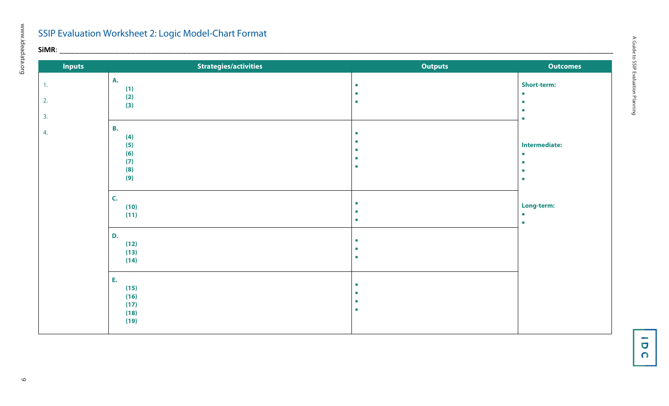# SSIP Evaluation Worksheet 2: Logic Model-Chart Format

www.ideadata.org

| $\mathsf{SiMR:}\_\mathsf{---}$ |                                                     |                                                  |                                                                                       |
|--------------------------------|-----------------------------------------------------|--------------------------------------------------|---------------------------------------------------------------------------------------|
| <b>Inputs</b>                  | Strategies/activities                               | <b>Outputs</b>                                   | <b>Outcomes</b>                                                                       |
| 1.<br>2.                       | <b>A.</b><br>(1)<br>(2)<br>(3)                      | $\bullet$<br>$\bullet$<br>$\bullet$              | <b>Short-term:</b><br>$\bullet$<br>$\bullet$<br>$\bullet$                             |
| 3.<br>4.                       | <b>B.</b><br>(4)<br>(5)<br>(6)<br>(7)<br>(8)<br>(9) | ٠<br>$\bullet$<br>$\bullet$                      | $\bullet$<br><b>Intermediate:</b><br>$\bullet$<br>$\bullet$<br>$\bullet$<br>$\bullet$ |
|                                | C.<br>(10)<br>(11)                                  | $\bullet$<br>$\bullet$<br>$\bullet$              | Long-term:<br>$\bullet$<br>$\bullet$                                                  |
|                                | D.<br>(12)<br>(13)<br>(14)                          | $\bullet$<br>$\bullet$                           |                                                                                       |
|                                | E.<br>(15)<br>(16)<br>(17)<br>(18)<br>(19)          | $\bullet$<br>$\bullet$<br>$\bullet$<br>$\bullet$ |                                                                                       |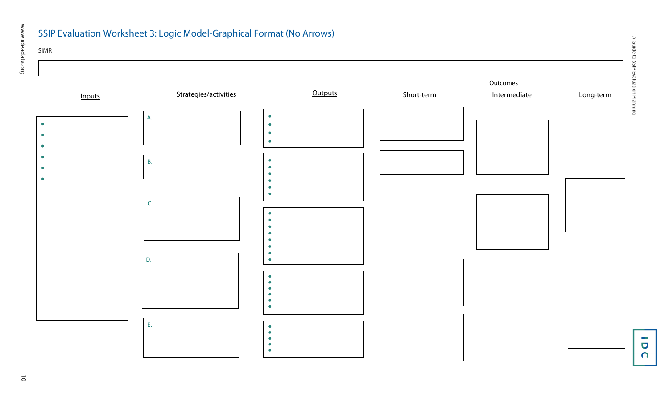### SSIP Evaluation Worksheet 3: Logic Model-Graphical Format (No Arrows)

### SiMR



A Guide to SSIP Evaluation Planning A Guide to SSIP Evaluation Planning

> $\overline{\mathbf{G}}$  $\Omega$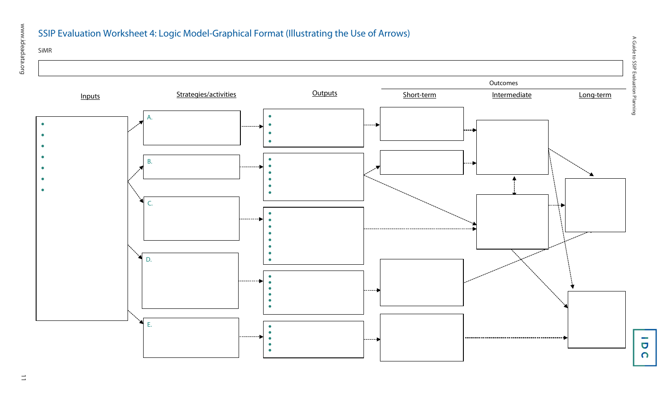### SSIP Evaluation Worksheet 4: Logic Model-Graphical Format (Illustrating the Use of Arrows)

### SiMR



 $\overline{\phantom{a}}$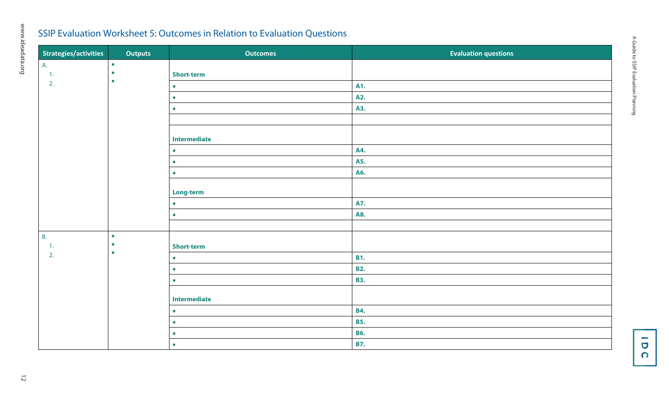### SSIP Evaluation Worksheet 5: Outcomes in Relation to Evaluation Questions

| Strategies/activities | <b>Outputs</b>         | <b>Outcomes</b>   | <b>Evaluation questions</b> |
|-----------------------|------------------------|-------------------|-----------------------------|
| A.                    | $\bullet$              |                   |                             |
| $\overline{1}$ .      | $\bullet$<br>$\bullet$ | <b>Short-term</b> |                             |
| 2.                    |                        | $\bullet$         | A1.                         |
|                       |                        | $\bullet$         | A2.                         |
|                       |                        | $\bullet$         | A3.                         |
|                       |                        |                   |                             |
|                       |                        | Intermediate      |                             |
|                       |                        | $\bullet$         | A4.                         |
|                       |                        | $\bullet$         | A5.                         |
|                       |                        | $\bullet$         | A6.                         |
|                       |                        | Long-term         |                             |
|                       |                        | $\bullet$         | A7.                         |
|                       |                        | $\bullet$         | <b>A8.</b>                  |
|                       |                        |                   |                             |
| <b>B.</b>             | $\bullet$              |                   |                             |
| $\overline{1}$ .      | $\bullet$<br>$\bullet$ | <b>Short-term</b> |                             |
| 2.                    |                        | $\bullet$         | <b>B1.</b>                  |
|                       |                        | $\bullet$         | <b>B2.</b>                  |
|                       |                        | $\bullet$         | <b>B3.</b>                  |
|                       |                        | Intermediate      |                             |
|                       |                        | $\bullet$         | <b>B4.</b>                  |
|                       |                        | $\bullet$         | <b>B5.</b>                  |
|                       |                        | $\bullet$         | <b>B6.</b>                  |
|                       |                        | $\bullet$         | <b>B7.</b>                  |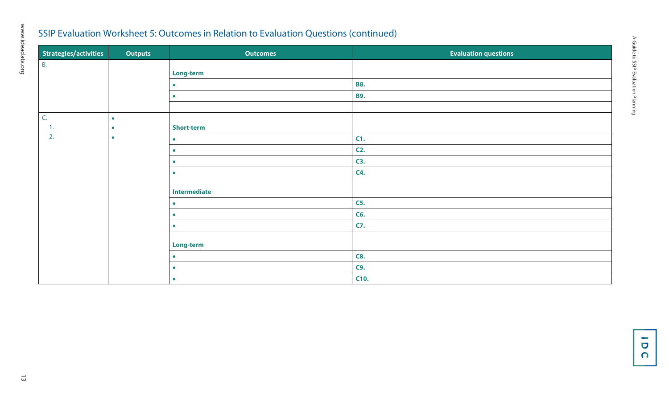### SSIP Evaluation Worksheet 5: Outcomes in Relation to Evaluation Questions (continued)

| Strategies/activities | <b>Outputs</b> | <b>Outcomes</b>     | <b>Evaluation questions</b> |
|-----------------------|----------------|---------------------|-----------------------------|
| <b>B.</b>             |                |                     |                             |
|                       |                | Long-term           |                             |
|                       |                | $\bullet$           | <b>B8.</b>                  |
|                       |                | $\bullet$           | <b>B9.</b>                  |
|                       |                |                     |                             |
| C.                    | $\bullet$      |                     |                             |
| т.                    | $\bullet$      | <b>Short-term</b>   |                             |
| 2.                    | $\bullet$      | $\bullet$           | C1.                         |
|                       |                | $\bullet$           | $C2$ .                      |
|                       |                | $\bullet$           | C3.                         |
|                       |                | $\bullet$           | <b>C4.</b>                  |
|                       |                | <b>Intermediate</b> |                             |
|                       |                | $\bullet$           | <b>C5.</b>                  |
|                       |                | $\bullet$           | C6.                         |
|                       |                | $\bullet$           | <b>C7.</b>                  |
|                       |                |                     |                             |
|                       |                | Long-term           |                             |
|                       |                | $\bullet$           | <b>C8.</b>                  |
|                       |                | $\bullet$           | <b>C9.</b>                  |
|                       |                | $\bullet$           | C10.                        |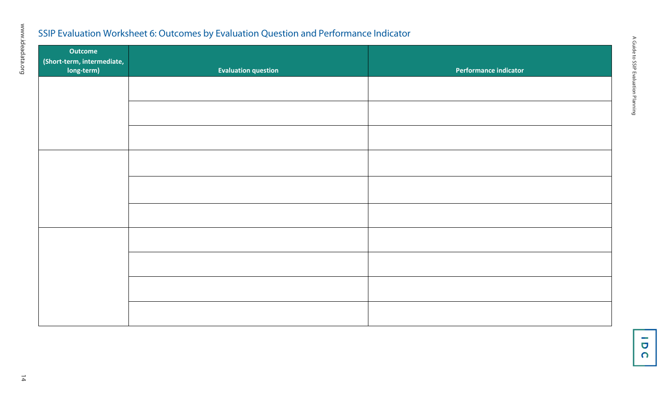### SSIP Evaluation Worksheet 6: Outcomes by Evaluation Question and Performance Indicator

| Outcome                                  |                            |                       |
|------------------------------------------|----------------------------|-----------------------|
| (Short-term, intermediate,<br>long-term) | <b>Evaluation question</b> | Performance indicator |
|                                          |                            |                       |
|                                          |                            |                       |
|                                          |                            |                       |
|                                          |                            |                       |
|                                          |                            |                       |
|                                          |                            |                       |
|                                          |                            |                       |
|                                          |                            |                       |
|                                          |                            |                       |
|                                          |                            |                       |

www.ideadata.org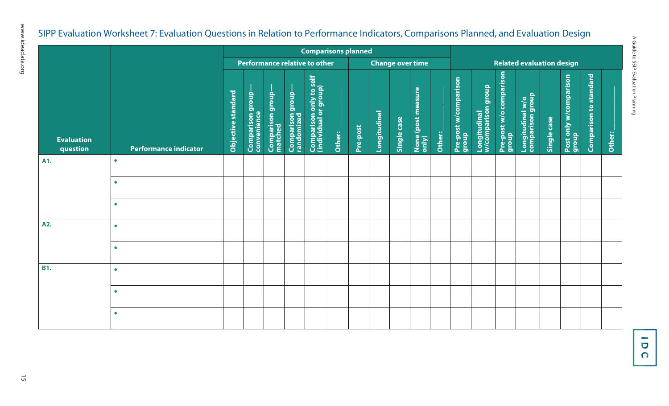# A Guide to SSIP Evaluation Planning A Guide to SSIP Evaluation Planning

# SIPP Evaluation Worksheet 7: Evaluation Questions in Relation to Performance Indicators, Comparisons Planned, and Evaluation Design

|                               | <b>Comparisons planned</b>   |                    |                                 |                             |                                |                                                  |        |                         |                     |             |                             |                                  |                                |                                         |                                  |                                      |             |                                 |                               |        |
|-------------------------------|------------------------------|--------------------|---------------------------------|-----------------------------|--------------------------------|--------------------------------------------------|--------|-------------------------|---------------------|-------------|-----------------------------|----------------------------------|--------------------------------|-----------------------------------------|----------------------------------|--------------------------------------|-------------|---------------------------------|-------------------------------|--------|
|                               |                              |                    | Performance relative to other   |                             |                                |                                                  |        | <b>Change over time</b> |                     |             |                             | <b>Related evaluation design</b> |                                |                                         |                                  |                                      |             |                                 |                               |        |
| <b>Evaluation</b><br>question | <b>Performance indicator</b> | Objective standard | Comparison group<br>convenience | Comparison group<br>matched | Comparison group<br>randomized | Comparison only to self<br>(individual or group) | Other: | Pre-post                | <b>Longitudinal</b> | Single case | None (post measure<br>only) | Other:                           | Pre-post w/comparison<br>group | dronb<br>Longitudinal<br>w/comparison g | Pre-post w/o comparison<br>group | Longitudinal w/o<br>comparison group | Single case | Post only w/comparison<br>group | <b>Comparison to standard</b> | Other: |
| A1.                           | $\bullet$                    |                    |                                 |                             |                                |                                                  |        |                         |                     |             |                             |                                  |                                |                                         |                                  |                                      |             |                                 |                               |        |
|                               | $\bullet$                    |                    |                                 |                             |                                |                                                  |        |                         |                     |             |                             |                                  |                                |                                         |                                  |                                      |             |                                 |                               |        |
|                               | $\bullet$                    |                    |                                 |                             |                                |                                                  |        |                         |                     |             |                             |                                  |                                |                                         |                                  |                                      |             |                                 |                               |        |
| A2.                           | $\bullet$                    |                    |                                 |                             |                                |                                                  |        |                         |                     |             |                             |                                  |                                |                                         |                                  |                                      |             |                                 |                               |        |
|                               | $\bullet$                    |                    |                                 |                             |                                |                                                  |        |                         |                     |             |                             |                                  |                                |                                         |                                  |                                      |             |                                 |                               |        |
| <b>B1.</b>                    | $\bullet$                    |                    |                                 |                             |                                |                                                  |        |                         |                     |             |                             |                                  |                                |                                         |                                  |                                      |             |                                 |                               |        |
|                               | $\bullet$                    |                    |                                 |                             |                                |                                                  |        |                         |                     |             |                             |                                  |                                |                                         |                                  |                                      |             |                                 |                               |        |
|                               | $\bullet$                    |                    |                                 |                             |                                |                                                  |        |                         |                     |             |                             |                                  |                                |                                         |                                  |                                      |             |                                 |                               |        |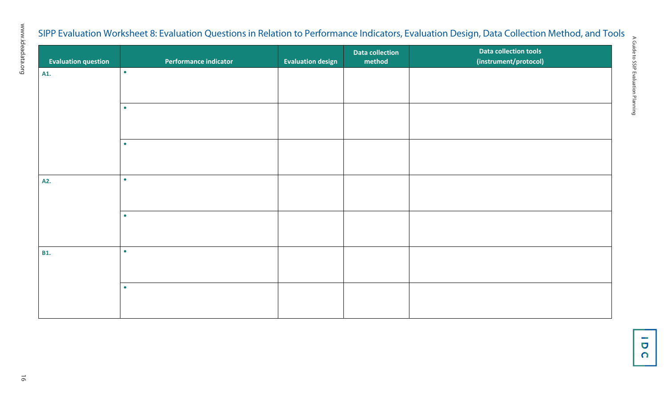# SIPP Evaluation Worksheet 8: Evaluation Questions in Relation to Performance Indicators, Evaluation Design, Data Collection Method, and Tools

| <b>Evaluation question</b> | Performance indicator | <b>Evaluation design</b> | <b>Data collection</b><br>method | Data collection tools<br>(instrument/protocol) |
|----------------------------|-----------------------|--------------------------|----------------------------------|------------------------------------------------|
| A1.                        | $\bullet$             |                          |                                  |                                                |
|                            |                       |                          |                                  |                                                |
|                            | $\bullet$             |                          |                                  |                                                |
|                            |                       |                          |                                  |                                                |
|                            | $\bullet$             |                          |                                  |                                                |
|                            |                       |                          |                                  |                                                |
| A2.                        | $\bullet$             |                          |                                  |                                                |
|                            |                       |                          |                                  |                                                |
|                            | $\bullet$             |                          |                                  |                                                |
|                            |                       |                          |                                  |                                                |
| <b>B1.</b>                 | $\bullet$             |                          |                                  |                                                |
|                            |                       |                          |                                  |                                                |
|                            | $\bullet$             |                          |                                  |                                                |
|                            |                       |                          |                                  |                                                |

A Guide to SSIP Evaluation Planning

A Guide to SSIP Evaluation Planning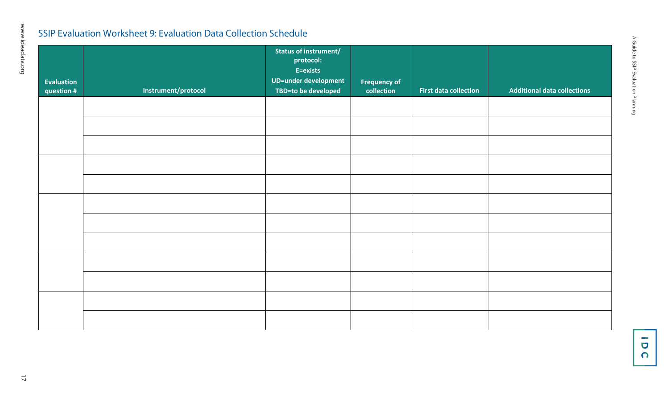### SSIP Evaluation Worksheet 9: Evaluation Data Collection Schedule

|                                 |                     | Status of instrument/<br>protocol:<br>E=exists<br>UD=under development |                                   |                              |                                    |
|---------------------------------|---------------------|------------------------------------------------------------------------|-----------------------------------|------------------------------|------------------------------------|
| <b>Evaluation</b><br>question # | Instrument/protocol | TBD=to be developed                                                    | <b>Frequency of</b><br>collection | <b>First data collection</b> | <b>Additional data collections</b> |
|                                 |                     |                                                                        |                                   |                              |                                    |
|                                 |                     |                                                                        |                                   |                              |                                    |
|                                 |                     |                                                                        |                                   |                              |                                    |
|                                 |                     |                                                                        |                                   |                              |                                    |
|                                 |                     |                                                                        |                                   |                              |                                    |
|                                 |                     |                                                                        |                                   |                              |                                    |
|                                 |                     |                                                                        |                                   |                              |                                    |
|                                 |                     |                                                                        |                                   |                              |                                    |
|                                 |                     |                                                                        |                                   |                              |                                    |
|                                 |                     |                                                                        |                                   |                              |                                    |
|                                 |                     |                                                                        |                                   |                              |                                    |
|                                 |                     |                                                                        |                                   |                              |                                    |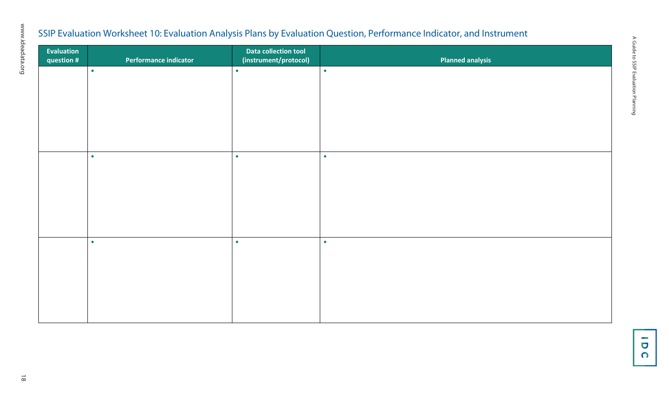### SSIP Evaluation Worksheet 10: Evaluation Analysis Plans by Evaluation Question, Performance Indicator, and Instrument

| Evaluation<br>question # | Performance indicator | Data collection tool<br>(instrument/protocol) | <b>Planned analysis</b> |
|--------------------------|-----------------------|-----------------------------------------------|-------------------------|
|                          | $\bullet$             | $\bullet$                                     | $\bullet$               |
|                          |                       |                                               |                         |
|                          |                       |                                               |                         |
|                          |                       |                                               |                         |
|                          | $\bullet$             | $\bullet$                                     | $\bullet$               |
|                          |                       |                                               |                         |
|                          |                       |                                               |                         |
|                          |                       |                                               |                         |
|                          | $\bullet$             | $\bullet$                                     | $\bullet$               |
|                          |                       |                                               |                         |
|                          |                       |                                               |                         |
|                          |                       |                                               |                         |

www.ideadata.org